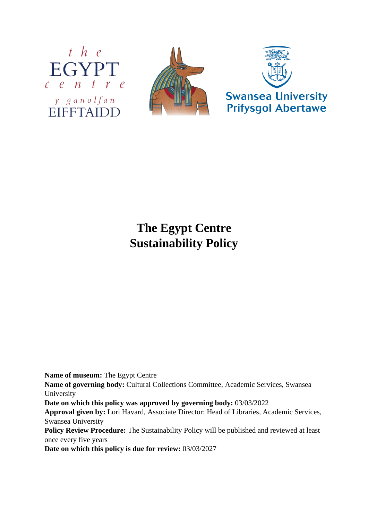





## **The Egypt Centre Sustainability Policy**

**Name of museum:** The Egypt Centre

**Name of governing body:** Cultural Collections Committee, Academic Services, Swansea University

**Date on which this policy was approved by governing body:** 03/03/2022

**Approval given by:** Lori Havard, Associate Director: Head of Libraries, Academic Services, Swansea University

Policy Review Procedure: The Sustainability Policy will be published and reviewed at least once every five years

**Date on which this policy is due for review:** 03/03/2027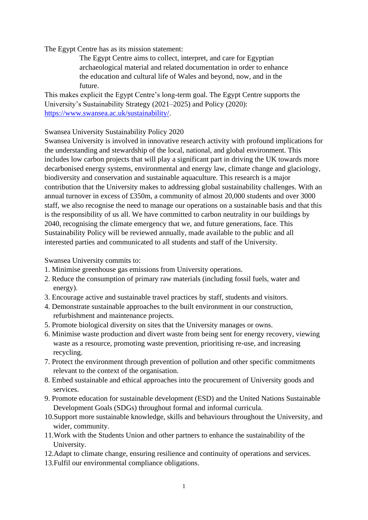The Egypt Centre has as its mission statement:

The Egypt Centre aims to collect, interpret, and care for Egyptian archaeological material and related documentation in order to enhance the education and cultural life of Wales and beyond, now, and in the future.

This makes explicit the Egypt Centre's long-term goal. The Egypt Centre supports the University's Sustainability Strategy (2021–2025) and Policy (2020): [https://www.swansea.ac.uk/sustainability/.](https://www.swansea.ac.uk/sustainability/)

Swansea University Sustainability Policy 2020

Swansea University is involved in innovative research activity with profound implications for the understanding and stewardship of the local, national, and global environment. This includes low carbon projects that will play a significant part in driving the UK towards more decarbonised energy systems, environmental and energy law, climate change and glaciology, biodiversity and conservation and sustainable aquaculture. This research is a major contribution that the University makes to addressing global sustainability challenges. With an annual turnover in excess of £350m, a community of almost 20,000 students and over 3000 staff, we also recognise the need to manage our operations on a sustainable basis and that this is the responsibility of us all. We have committed to carbon neutrality in our buildings by 2040, recognising the climate emergency that we, and future generations, face. This Sustainability Policy will be reviewed annually, made available to the public and all interested parties and communicated to all students and staff of the University.

Swansea University commits to:

- 1. Minimise greenhouse gas emissions from University operations.
- 2. Reduce the consumption of primary raw materials (including fossil fuels, water and energy).
- 3. Encourage active and sustainable travel practices by staff, students and visitors.
- 4. Demonstrate sustainable approaches to the built environment in our construction, refurbishment and maintenance projects.
- 5. Promote biological diversity on sites that the University manages or owns.
- 6. Minimise waste production and divert waste from being sent for energy recovery, viewing waste as a resource, promoting waste prevention, prioritising re-use, and increasing recycling.
- 7. Protect the environment through prevention of pollution and other specific commitments relevant to the context of the organisation.
- 8. Embed sustainable and ethical approaches into the procurement of University goods and services.
- 9. Promote education for sustainable development (ESD) and the United Nations Sustainable Development Goals (SDGs) throughout formal and informal curricula.
- 10.Support more sustainable knowledge, skills and behaviours throughout the University, and wider, community.
- 11.Work with the Students Union and other partners to enhance the sustainability of the University.
- 12.Adapt to climate change, ensuring resilience and continuity of operations and services.
- 13.Fulfil our environmental compliance obligations.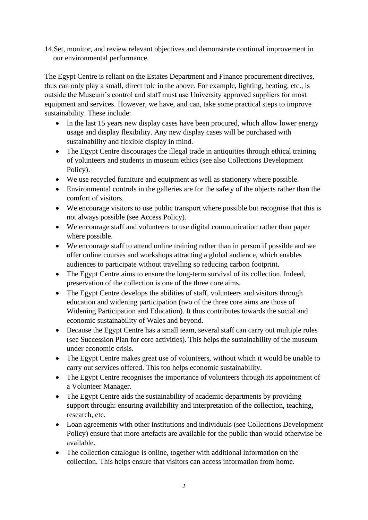14.Set, monitor, and review relevant objectives and demonstrate continual improvement in our environmental performance.

The Egypt Centre is reliant on the Estates Department and Finance procurement directives, thus can only play a small, direct role in the above. For example, lighting, heating, etc., is outside the Museum's control and staff must use University approved suppliers for most equipment and services. However, we have, and can, take some practical steps to improve sustainability. These include:

- In the last 15 years new display cases have been procured, which allow lower energy usage and display flexibility. Any new display cases will be purchased with sustainability and flexible display in mind.
- The Egypt Centre discourages the illegal trade in antiquities through ethical training of volunteers and students in museum ethics (see also Collections Development Policy).
- We use recycled furniture and equipment as well as stationery where possible.
- Environmental controls in the galleries are for the safety of the objects rather than the comfort of visitors.
- We encourage visitors to use public transport where possible but recognise that this is not always possible (see Access Policy).
- We encourage staff and volunteers to use digital communication rather than paper where possible.
- We encourage staff to attend online training rather than in person if possible and we offer online courses and workshops attracting a global audience, which enables audiences to participate without travelling so reducing carbon footprint.
- The Egypt Centre aims to ensure the long-term survival of its collection. Indeed, preservation of the collection is one of the three core aims.
- The Egypt Centre develops the abilities of staff, volunteers and visitors through education and widening participation (two of the three core aims are those of Widening Participation and Education). It thus contributes towards the social and economic sustainability of Wales and beyond.
- Because the Egypt Centre has a small team, several staff can carry out multiple roles (see Succession Plan for core activities). This helps the sustainability of the museum under economic crisis.
- The Egypt Centre makes great use of volunteers, without which it would be unable to carry out services offered. This too helps economic sustainability.
- The Egypt Centre recognises the importance of volunteers through its appointment of a Volunteer Manager.
- The Egypt Centre aids the sustainability of academic departments by providing support through: ensuring availability and interpretation of the collection, teaching, research, etc.
- Loan agreements with other institutions and individuals (see Collections Development Policy) ensure that more artefacts are available for the public than would otherwise be available.
- The collection catalogue is online, together with additional information on the collection. This helps ensure that visitors can access information from home.